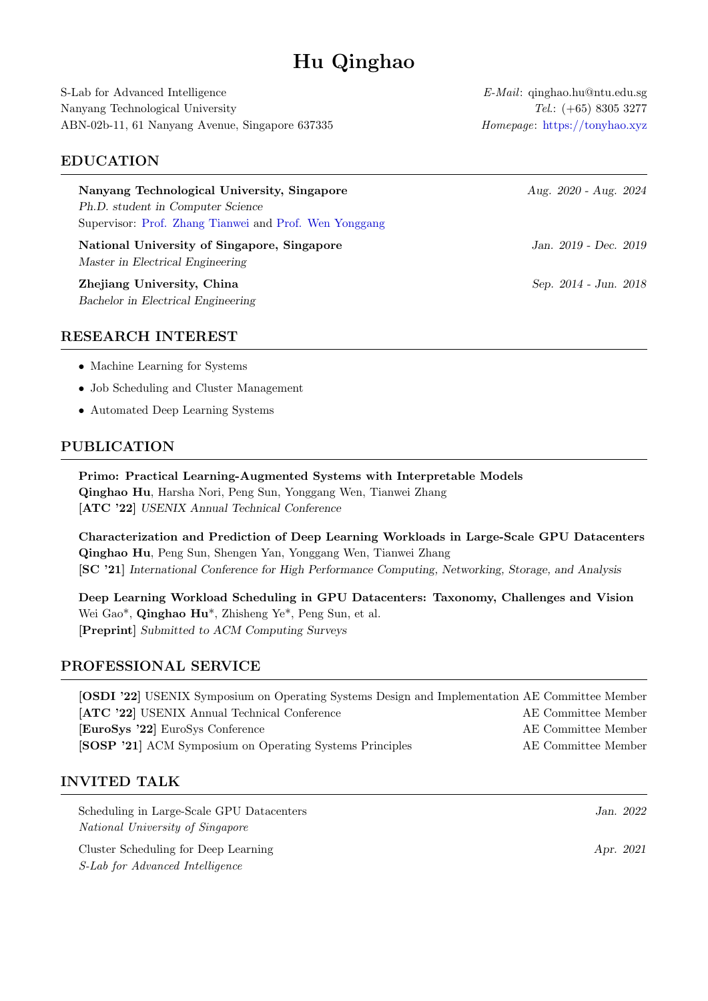# Hu Qinghao

S-Lab for Advanced Intelligence  $E\text{-}\text{Mail: }$  qinghao.hu@ntu.edu.sg Nanyang Technological University Tel.: (+65) 8305 3277 ABN-02b-11, 61 Nanyang Avenue, Singapore 637335 Homepage: <https://tonyhao.xyz>

#### EDUCATION

| Nanyang Technological University, Singapore<br>Ph.D. student in Computer Science<br>Supervisor: Prof. Zhang Tianwei and Prof. Wen Yonggang | Aug. 2020 - Aug. 2024 |
|--------------------------------------------------------------------------------------------------------------------------------------------|-----------------------|
| National University of Singapore, Singapore<br>Master in Electrical Engineering                                                            | Jan. 2019 - Dec. 2019 |
| Zhejiang University, China<br>Bachelor in Electrical Engineering                                                                           | Sep. 2014 - Jun. 2018 |

### RESEARCH INTEREST

- Machine Learning for Systems
- Job Scheduling and Cluster Management
- Automated Deep Learning Systems

#### PUBLICATION

Primo: Practical Learning-Augmented Systems with Interpretable Models Qinghao Hu, Harsha Nori, Peng Sun, Yonggang Wen, Tianwei Zhang

[\[ATC '22\]](https://www.usenix.org/conference/atc22/presentation/hu) USENIX Annual Technical Conference

Characterization and Prediction of Deep Learning Workloads in Large-Scale GPU Datacenters Qinghao Hu, Peng Sun, Shengen Yan, Yonggang Wen, Tianwei Zhang [\[SC '21\]](https://dl.acm.org/doi/abs/10.1145/3458817.3476223) International Conference for High Performance Computing, Networking, Storage, and Analysis

Deep Learning Workload Scheduling in GPU Datacenters: Taxonomy, Challenges and Vision Wei Gao\*, Qinghao Hu\*, Zhisheng Ye\*, Peng Sun, et al. [\[Preprint\]](https://arxiv.org/abs/2205.11913) Submitted to ACM Computing Surveys

## PROFESSIONAL SERVICE

| [OSDI '22] USENIX Symposium on Operating Systems Design and Implementation AE Committee Member |                     |
|------------------------------------------------------------------------------------------------|---------------------|
| [ATC '22] USENIX Annual Technical Conference                                                   | AE Committee Member |
| [EuroSys '22] EuroSys Conference                                                               | AE Committee Member |
| [SOSP '21] ACM Symposium on Operating Systems Principles                                       | AE Committee Member |

#### INVITED TALK

| Scheduling in Large-Scale GPU Datacenters |           | Jan. 2022 |
|-------------------------------------------|-----------|-----------|
| <i>National University of Singapore</i>   |           |           |
| Cluster Scheduling for Deep Learning      | Apr. 2021 |           |
| <i>S-Lab for Advanced Intelligence</i>    |           |           |